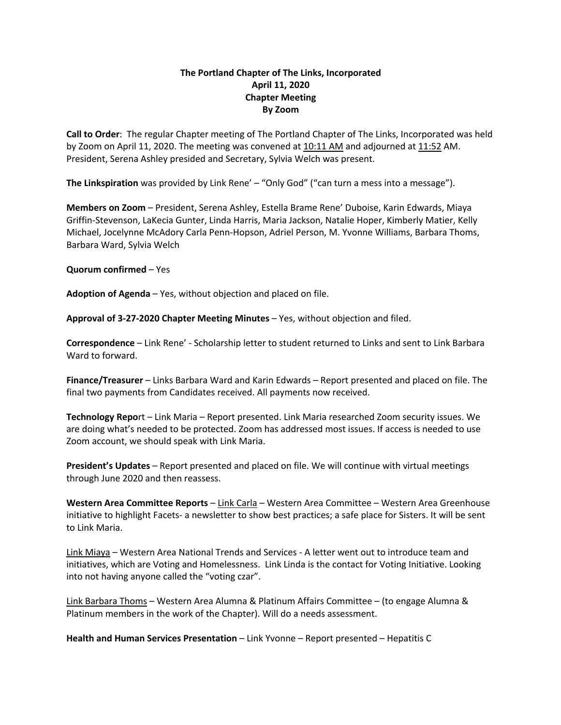## **The Portland Chapter of The Links, Incorporated April 11, 2020 Chapter Meeting By Zoom**

**Call to Order**: The regular Chapter meeting of The Portland Chapter of The Links, Incorporated was held by Zoom on April 11, 2020. The meeting was convened at 10:11 AM and adjourned at 11:52 AM. President, Serena Ashley presided and Secretary, Sylvia Welch was present.

**The Linkspiration** was provided by Link Rene' – "Only God" ("can turn a mess into a message").

**Members on Zoom** – President, Serena Ashley, Estella Brame Rene' Duboise, Karin Edwards, Miaya Griffin-Stevenson, LaKecia Gunter, Linda Harris, Maria Jackson, Natalie Hoper, Kimberly Matier, Kelly Michael, Jocelynne McAdory Carla Penn-Hopson, Adriel Person, M. Yvonne Williams, Barbara Thoms, Barbara Ward, Sylvia Welch

**Quorum confirmed** – Yes

**Adoption of Agenda** – Yes, without objection and placed on file.

**Approval of 3-27-2020 Chapter Meeting Minutes** – Yes, without objection and filed.

**Correspondence** – Link Rene' - Scholarship letter to student returned to Links and sent to Link Barbara Ward to forward.

**Finance/Treasurer** – Links Barbara Ward and Karin Edwards – Report presented and placed on file. The final two payments from Candidates received. All payments now received.

**Technology Repo**rt – Link Maria – Report presented. Link Maria researched Zoom security issues. We are doing what's needed to be protected. Zoom has addressed most issues. If access is needed to use Zoom account, we should speak with Link Maria.

**President's Updates** – Report presented and placed on file. We will continue with virtual meetings through June 2020 and then reassess.

**Western Area Committee Reports** – Link Carla – Western Area Committee – Western Area Greenhouse initiative to highlight Facets- a newsletter to show best practices; a safe place for Sisters. It will be sent to Link Maria.

Link Miaya – Western Area National Trends and Services - A letter went out to introduce team and initiatives, which are Voting and Homelessness. Link Linda is the contact for Voting Initiative. Looking into not having anyone called the "voting czar".

Link Barbara Thoms – Western Area Alumna & Platinum Affairs Committee – (to engage Alumna & Platinum members in the work of the Chapter). Will do a needs assessment.

**Health and Human Services Presentation** – Link Yvonne – Report presented – Hepatitis C